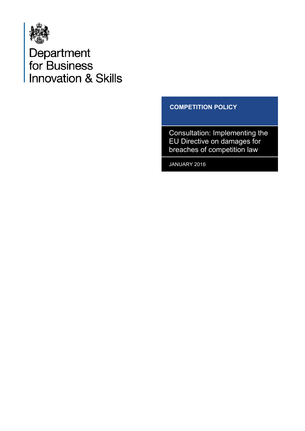

Department<br>for Business<br>Innovation & Skills

## **COMPETITION POLICY**

Consultation: Implementing the EU Directive on damages for breaches of competition law

JANUARY 2016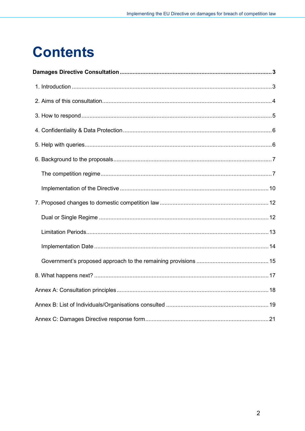# **Contents**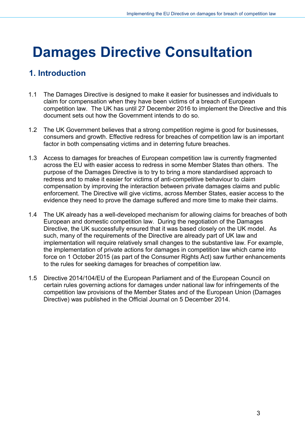# <span id="page-2-0"></span>**Damages Directive Consultation**

# <span id="page-2-1"></span>**1. Introduction**

- 1.1 The Damages Directive is designed to make it easier for businesses and individuals to claim for compensation when they have been victims of a breach of European competition law. The UK has until 27 December 2016 to implement the Directive and this document sets out how the Government intends to do so.
- 1.2 The UK Government believes that a strong competition regime is good for businesses, consumers and growth. Effective redress for breaches of competition law is an important factor in both compensating victims and in deterring future breaches.
- 1.3 Access to damages for breaches of European competition law is currently fragmented across the EU with easier access to redress in some Member States than others. The purpose of the Damages Directive is to try to bring a more standardised approach to redress and to make it easier for victims of anti-competitive behaviour to claim compensation by improving the interaction between private damages claims and public enforcement. The Directive will give victims, across Member States, easier access to the evidence they need to prove the damage suffered and more time to make their claims.
- 1.4 The UK already has a well-developed mechanism for allowing claims for breaches of both European and domestic competition law. During the negotiation of the Damages Directive, the UK successfully ensured that it was based closely on the UK model. As such, many of the requirements of the Directive are already part of UK law and implementation will require relatively small changes to the substantive law. For example, the implementation of private actions for damages in competition law which came into force on 1 October 2015 (as part of the Consumer Rights Act) saw further enhancements to the rules for seeking damages for breaches of competition law.
- 1.5 Directive 2014/104/EU of the European Parliament and of the European Council on certain rules governing actions for damages under national law for infringements of the competition law provisions of the Member States and of the European Union (Damages Directive) was published in the Official Journal on 5 December 2014.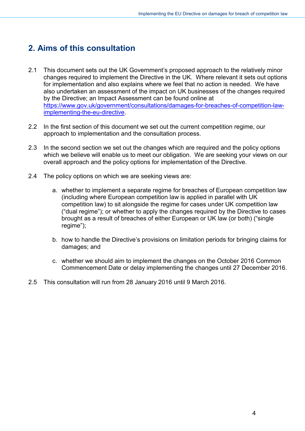# <span id="page-3-0"></span>**2. Aims of this consultation**

- 2.1 This document sets out the UK Government's proposed approach to the relatively minor changes required to implement the Directive in the UK. Where relevant it sets out options for implementation and also explains where we feel that no action is needed. We have also undertaken an assessment of the impact on UK businesses of the changes required by the Directive; an Impact Assessment can be found online at [https://www.gov.uk/government/consultations/damages-for-breaches-of-competition-law](https://www.gov.uk/government/consultations/damages-for-breaches-of-competition-law-implementing-the-eu-directive)[implementing-the-eu-directive.](https://www.gov.uk/government/consultations/damages-for-breaches-of-competition-law-implementing-the-eu-directive)
- 2.2 In the first section of this document we set out the current competition regime, our approach to implementation and the consultation process.
- 2.3 In the second section we set out the changes which are required and the policy options which we believe will enable us to meet our obligation. We are seeking your views on our overall approach and the policy options for implementation of the Directive.
- 2.4 The policy options on which we are seeking views are:
	- a. whether to implement a separate regime for breaches of European competition law (including where European competition law is applied in parallel with UK competition law) to sit alongside the regime for cases under UK competition law ("dual regime"); or whether to apply the changes required by the Directive to cases brought as a result of breaches of either European or UK law (or both) ("single regime");
	- b. how to handle the Directive's provisions on limitation periods for bringing claims for damages; and
	- c. whether we should aim to implement the changes on the October 2016 Common Commencement Date or delay implementing the changes until 27 December 2016.
- 2.5 This consultation will run from 28 January 2016 until 9 March 2016.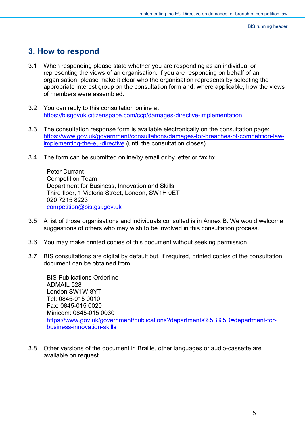# <span id="page-4-0"></span>**3. How to respond**

- 3.1 When responding please state whether you are responding as an individual or representing the views of an organisation. If you are responding on behalf of an organisation, please make it clear who the organisation represents by selecting the appropriate interest group on the consultation form and, where applicable, how the views of members were assembled.
- 3.2 You can reply to this consultation online at [https://bisgovuk.citizenspace.com/ccp/damages-directive-implementation.](https://bisgovuk.citizenspace.com/ccp/damages-directive-implementation)
- 3.3 The consultation response form is available electronically on the consultation page: [https://www.gov.uk/government/consultations/damages-for-breaches-of-competition-law](https://www.gov.uk/government/consultations/damages-for-breaches-of-competition-law-implementing-the-eu-directive)[implementing-the-eu-directive](https://www.gov.uk/government/consultations/damages-for-breaches-of-competition-law-implementing-the-eu-directive) (until the consultation closes).
- 3.4 The form can be submitted online/by email or by letter or fax to:

Peter Durrant Competition Team Department for Business, Innovation and Skills Third floor, 1 Victoria Street, London, SW1H 0ET 020 7215 8223 [competition@bis.gsi.gov.uk](mailto:competition@bis.gsi.gov.uk)

- 3.5 A list of those organisations and individuals consulted is in Annex B. We would welcome suggestions of others who may wish to be involved in this consultation process.
- 3.6 You may make printed copies of this document without seeking permission.
- 3.7 BIS consultations are digital by default but, if required, printed copies of the consultation document can be obtained from:

BIS Publications Orderline ADMAIL 528 London SW1W 8YT Tel: 0845-015 0010 Fax: 0845-015 0020 Minicom: 0845-015 0030 [https://www.gov.uk/government/publications?departments%5B%5D=department-for](https://www.gov.uk/government/publications?departments%5B%5D=department-for-business-innovation-skills)[business-innovation-skills](https://www.gov.uk/government/publications?departments%5B%5D=department-for-business-innovation-skills)

3.8 Other versions of the document in Braille, other languages or audio-cassette are available on request.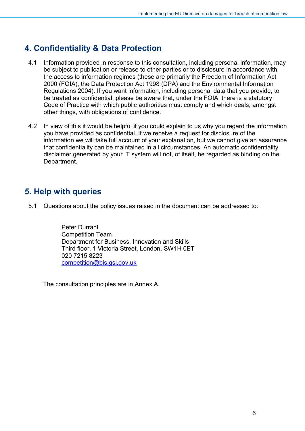# <span id="page-5-0"></span>**4. Confidentiality & Data Protection**

- 4.1 Information provided in response to this consultation, including personal information, may be subject to publication or release to other parties or to disclosure in accordance with the access to information regimes (these are primarily the Freedom of Information Act 2000 (FOIA), the Data Protection Act 1998 (DPA) and the Environmental Information Regulations 2004). If you want information, including personal data that you provide, to be treated as confidential, please be aware that, under the FOIA, there is a statutory Code of Practice with which public authorities must comply and which deals, amongst other things, with obligations of confidence.
- 4.2 In view of this it would be helpful if you could explain to us why you regard the information you have provided as confidential. If we receive a request for disclosure of the information we will take full account of your explanation, but we cannot give an assurance that confidentiality can be maintained in all circumstances. An automatic confidentiality disclaimer generated by your IT system will not, of itself, be regarded as binding on the Department.

# <span id="page-5-1"></span>**5. Help with queries**

5.1 Questions about the policy issues raised in the document can be addressed to:

Peter Durrant Competition Team Department for Business, Innovation and Skills Third floor, 1 Victoria Street, London, SW1H 0ET 020 7215 8223 [competition@bis.gsi.gov.uk](mailto:competition@bis.gsi.gov.uk) 

The consultation principles are in Annex A.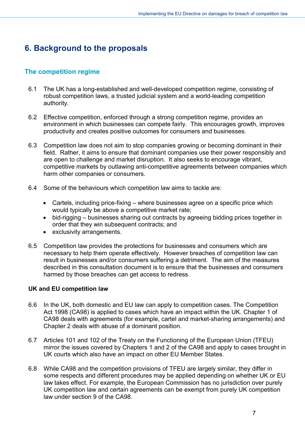# <span id="page-6-0"></span>**6. Background to the proposals**

#### <span id="page-6-1"></span>**The competition regime**

- 6.1 The UK has a long-established and well-developed competition regime, consisting of robust competition laws, a trusted judicial system and a world-leading competition authority.
- 6.2 Effective competition, enforced through a strong competition regime, provides an environment in which businesses can compete fairly. This encourages growth, improves productivity and creates positive outcomes for consumers and businesses.
- 6.3 Competition law does not aim to stop companies growing or becoming dominant in their field. Rather, it aims to ensure that dominant companies use their power responsibly and are open to challenge and market disruption. It also seeks to encourage vibrant, competitive markets by outlawing anti-competitive agreements between companies which harm other companies or consumers.
- 6.4 Some of the behaviours which competition law aims to tackle are:
	- Cartels, including price-fixing where businesses agree on a specific price which would typically be above a competitive market rate;
	- bid-rigging businesses sharing out contracts by agreeing bidding prices together in order that they win subsequent contracts; and
	- exclusivity arrangements.
- 6.5 Competition law provides the protections for businesses and consumers which are necessary to help them operate effectively. However breaches of competition law can result in businesses and/or consumers suffering a detriment. The aim of the measures described in this consultation document is to ensure that the businesses and consumers harmed by those breaches can get access to redress.

#### **UK and EU competition law**

- 6.6 In the UK, both domestic and EU law can apply to competition cases. The Competition Act 1998 (CA98) is applied to cases which have an impact within the UK. Chapter 1 of CA98 deals with agreements (for example, cartel and market-sharing arrangements) and Chapter 2 deals with abuse of a dominant position.
- 6.7 Articles 101 and 102 of the Treaty on the Functioning of the European Union (TFEU) mirror the issues covered by Chapters 1 and 2 of the CA98 and apply to cases brought in UK courts which also have an impact on other EU Member States.
- 6.8 While CA98 and the competition provisions of TFEU are largely similar, they differ in some respects and different procedures may be applied depending on whether UK or EU law takes effect. For example, the European Commission has no jurisdiction over purely UK competition law and certain agreements can be exempt from purely UK competition law under section 9 of the CA98.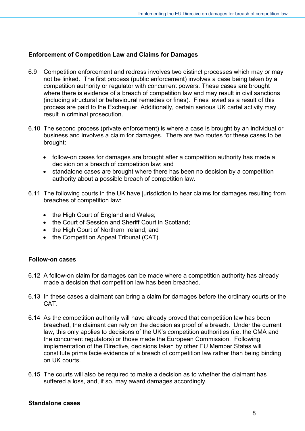#### **Enforcement of Competition Law and Claims for Damages**

- 6.9 Competition enforcement and redress involves two distinct processes which may or may not be linked. The first process (public enforcement) involves a case being taken by a competition authority or regulator with concurrent powers. These cases are brought where there is evidence of a breach of competition law and may result in civil sanctions (including structural or behavioural remedies or fines). Fines levied as a result of this process are paid to the Exchequer. Additionally, certain serious UK cartel activity may result in criminal prosecution.
- 6.10 The second process (private enforcement) is where a case is brought by an individual or business and involves a claim for damages. There are two routes for these cases to be brought:
	- follow-on cases for damages are brought after a competition authority has made a decision on a breach of competition law; and
	- standalone cases are brought where there has been no decision by a competition authority about a possible breach of competition law.
- 6.11 The following courts in the UK have jurisdiction to hear claims for damages resulting from breaches of competition law:
	- the High Court of England and Wales;
	- the Court of Session and Sheriff Court in Scotland;
	- the High Court of Northern Ireland; and
	- the Competition Appeal Tribunal (CAT).

#### **Follow-on cases**

- 6.12 A follow-on claim for damages can be made where a competition authority has already made a decision that competition law has been breached.
- 6.13 In these cases a claimant can bring a claim for damages before the ordinary courts or the CAT.
- 6.14 As the competition authority will have already proved that competition law has been breached, the claimant can rely on the decision as proof of a breach. Under the current law, this only applies to decisions of the UK's competition authorities (i.e. the CMA and the concurrent regulators) or those made the European Commission. Following implementation of the Directive, decisions taken by other EU Member States will constitute prima facie evidence of a breach of competition law rather than being binding on UK courts.
- 6.15 The courts will also be required to make a decision as to whether the claimant has suffered a loss, and, if so, may award damages accordingly.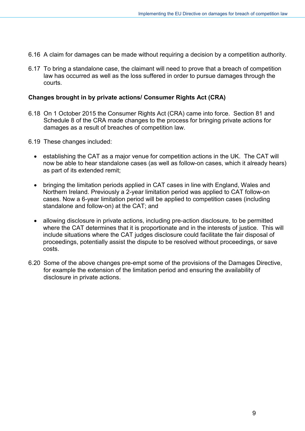- 6.16 A claim for damages can be made without requiring a decision by a competition authority.
- 6.17 To bring a standalone case, the claimant will need to prove that a breach of competition law has occurred as well as the loss suffered in order to pursue damages through the courts.

#### **Changes brought in by private actions/ Consumer Rights Act (CRA)**

- 6.18 On 1 October 2015 the Consumer Rights Act (CRA) came into force. Section 81 and Schedule 8 of the CRA made changes to the process for bringing private actions for damages as a result of breaches of competition law.
- 6.19 These changes included:
	- establishing the CAT as a major venue for competition actions in the UK. The CAT will now be able to hear standalone cases (as well as follow-on cases, which it already hears) as part of its extended remit;
	- bringing the limitation periods applied in CAT cases in line with England, Wales and Northern Ireland. Previously a 2-year limitation period was applied to CAT follow-on cases. Now a 6-year limitation period will be applied to competition cases (including standalone and follow-on) at the CAT; and
	- allowing disclosure in private actions, including pre-action disclosure, to be permitted where the CAT determines that it is proportionate and in the interests of justice. This will include situations where the CAT judges disclosure could facilitate the fair disposal of proceedings, potentially assist the dispute to be resolved without proceedings, or save costs.
- 6.20 Some of the above changes pre-empt some of the provisions of the Damages Directive, for example the extension of the limitation period and ensuring the availability of disclosure in private actions.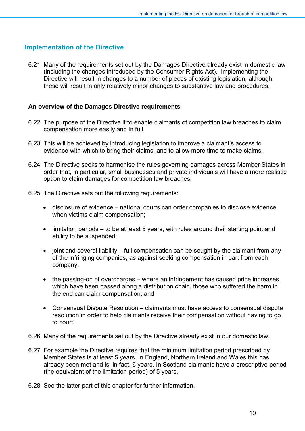#### <span id="page-9-0"></span>**Implementation of the Directive**

6.21 Many of the requirements set out by the Damages Directive already exist in domestic law (including the changes introduced by the Consumer Rights Act). Implementing the Directive will result in changes to a number of pieces of existing legislation, although these will result in only relatively minor changes to substantive law and procedures.

#### **An overview of the Damages Directive requirements**

- 6.22 The purpose of the Directive it to enable claimants of competition law breaches to claim compensation more easily and in full.
- 6.23 This will be achieved by introducing legislation to improve a claimant's access to evidence with which to bring their claims, and to allow more time to make claims.
- 6.24 The Directive seeks to harmonise the rules governing damages across Member States in order that, in particular, small businesses and private individuals will have a more realistic option to claim damages for competition law breaches.
- 6.25 The Directive sets out the following requirements:
	- disclosure of evidence national courts can order companies to disclose evidence when victims claim compensation;
	- limitation periods to be at least 5 years, with rules around their starting point and ability to be suspended;
	- joint and several liability full compensation can be sought by the claimant from any of the infringing companies, as against seeking compensation in part from each company;
	- the passing-on of overcharges where an infringement has caused price increases which have been passed along a distribution chain, those who suffered the harm in the end can claim compensation; and
	- Consensual Dispute Resolution claimants must have access to consensual dispute resolution in order to help claimants receive their compensation without having to go to court.
- 6.26 Many of the requirements set out by the Directive already exist in our domestic law.
- 6.27 For example the Directive requires that the minimum limitation period prescribed by Member States is at least 5 years. In England, Northern Ireland and Wales this has already been met and is, in fact, 6 years. In Scotland claimants have a prescriptive period (the equivalent of the limitation period) of 5 years.
- 6.28 See the latter part of this chapter for further information.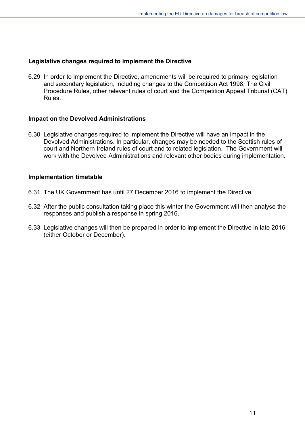#### **Legislative changes required to implement the Directive**

6.29 In order to implement the Directive, amendments will be required to primary legislation and secondary legislation, including changes to the Competition Act 1998, The Civil Procedure Rules, other relevant rules of court and the Competition Appeal Tribunal (CAT) Rules.

#### **Impact on the Devolved Administrations**

6.30 Legislative changes required to implement the Directive will have an impact in the Devolved Administrations. In particular, changes may be needed to the Scottish rules of court and Northern Ireland rules of court and to related legislation. The Government will work with the Devolved Administrations and relevant other bodies during implementation.

#### **Implementation timetable**

- 6.31 The UK Government has until 27 December 2016 to implement the Directive.
- 6.32 After the public consultation taking place this winter the Government will then analyse the responses and publish a response in spring 2016.
- 6.33 Legislative changes will then be prepared in order to implement the Directive in late 2016 (either October or December).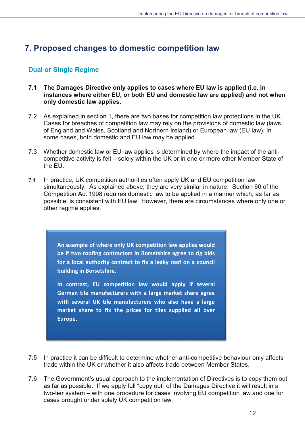# <span id="page-11-0"></span>**7. Proposed changes to domestic competition law**

## <span id="page-11-1"></span>**Dual or Single Regime**

- **7.1 The Damages Directive only applies to cases where EU law is applied (i.e. in** instances where either EU, or both EU and domestic law are applied) and not when only domestic law applies.
- 7.2 As explained in section 1, there are two bases for competition law protections in the UK. Cases for breaches of competition law may rely on the provisions of domestic law (laws of England and Wales, Scotland and Northern Ireland) or European law (EU law). In some cases, both domestic and EU law may be applied.
- 7.3 Whether domestic law or EU law applies is determined by where the impact of the anticompetitive activity is felt - solely within the UK or in one or more other Member State of the EU.
- 7.4 In practice, UK competition authorities often apply UK and EU competition law simultaneously. As explained above, they are very similar in nature. Section 60 of the Competition Act 1998 requires domestic law to be applied in a manner which, as far as possible, is consistent with EU law. However, there are circumstances where only one or other regime applies.

**An example of where only UK competition law applies would be if two roofing contractors in Borsetshire agree to rig bids for a local authority contract to fix a leaky roof on a council building in Borsetshire.** 

**In contrast, EU competition law would apply if several German tile manufacturers with a large market share agree with several UK tile manufacturers who also have a large market share to fix the prices for tiles supplied all over Europe.**

- 7.5 In practice it can be difficult to determine whether anti-competitive behaviour only affects trade within the UK or whether it also affects trade between Member States.
- 7.6 The Government's usual approach to the implementation of Directives is to copy them out as far as possible. If we apply full "copy out" of the Damages Directive it will result in a two-tier system – with one procedure for cases involving EU competition law and one for cases brought under solely UK competition law.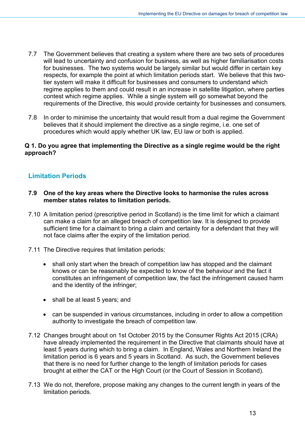- 7.7 The Government believes that creating a system where there are two sets of procedures will lead to uncertainty and confusion for business, as well as higher familiarisation costs for businesses. The two systems would be largely similar but would differ in certain key respects, for example the point at which limitation periods start. We believe that this twotier system will make it difficult for businesses and consumers to understand which regime applies to them and could result in an increase in satellite litigation, where parties contest which regime applies. While a single system will go somewhat beyond the requirements of the Directive, this would provide certainty for businesses and consumers.
- 7.8 In order to minimise the uncertainty that would result from a dual regime the Government believes that it should implement the directive as a single regime, i.e. one set of procedures which would apply whether UK law, EU law or both is applied.

#### **Q 1. Do you agree that implementing the Directive as a single regime would be the right approach?**

## <span id="page-12-0"></span>**Limitation Periods**

- **7.9 One of the key areas where the Directive looks to harmonise the rules across member states relates to limitation periods.**
- 7.10 A limitation period (prescriptive period in Scotland) is the time limit for which a claimant can make a claim for an alleged breach of competition law. It is designed to provide sufficient time for a claimant to bring a claim and certainty for a defendant that they will not face claims after the expiry of the limitation period.
- 7.11 The Directive requires that limitation periods:
	- shall only start when the breach of competition law has stopped and the claimant knows or can be reasonably be expected to know of the behaviour and the fact it constitutes an infringement of competition law, the fact the infringement caused harm and the identity of the infringer;
	- shall be at least 5 years; and
	- can be suspended in various circumstances, including in order to allow a competition authority to investigate the breach of competition law.
- 7.12 Changes brought about on 1st October 2015 by the Consumer Rights Act 2015 (CRA) have already implemented the requirement in the Directive that claimants should have at least 5 years during which to bring a claim. In England, Wales and Northern Ireland the limitation period is 6 years and 5 years in Scotland. As such, the Government believes that there is no need for further change to the length of limitation periods for cases brought at either the CAT or the High Court (or the Court of Session in Scotland).
- 7.13 We do not, therefore, propose making any changes to the current length in years of the limitation periods.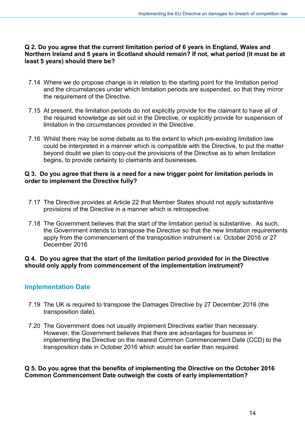#### **Q 2. Do you agree that the current limitation period of 6 years in England, Wales and Northern Ireland and 5 years in Scotland should remain? If not, what period (it must be at least 5 years) should there be?**

- 7.14 Where we do propose change is in relation to the starting point for the limitation period and the circumstances under which limitation periods are suspended, so that they mirror the requirement of the Directive.
- 7.15 At present, the limitation periods do not explicitly provide for the claimant to have all of the required knowledge as set out in the Directive, or explicitly provide for suspension of limitation in the circumstances provided in the Directive.
- 7.16 Whilst there may be some debate as to the extent to which pre-existing limitation law could be interpreted in a manner which is compatible with the Directive, to put the matter beyond doubt we plan to copy-out the provisions of the Directive as to when limitation begins, to provide certainty to claimants and businesses.

#### **Q 3. Do you agree that there is a need for a new trigger point for limitation periods in order to implement the Directive fully?**

- 7.17 The Directive provides at Article 22 that Member States should not apply substantive provisions of the Directive in a manner which is retrospective.
- 7.18 The Government believes that the start of the limitation period is substantive. As such, the Government intends to transpose the Directive so that the new limitation requirements apply from the commencement of the transposition instrument i.e. October 2016 or 27 December 2016

#### **Q 4. Do you agree that the start of the limitation period provided for in the Directive should only apply from commencement of the implementation instrument?**

## <span id="page-13-0"></span>**Implementation Date**

- 7.19 The UK is required to transpose the Damages Directive by 27 December 2016 (the transposition date).
- 7.20 The Government does not usually implement Directives earlier than necessary. However, the Government believes that there are advantages for business in implementing the Directive on the nearest Common Commencement Date (CCD) to the transposition date in October 2016 which would be earlier than required.

**Q 5. Do you agree that the benefits of implementing the Directive on the October 2016 Common Commencement Date outweigh the costs of early implementation?**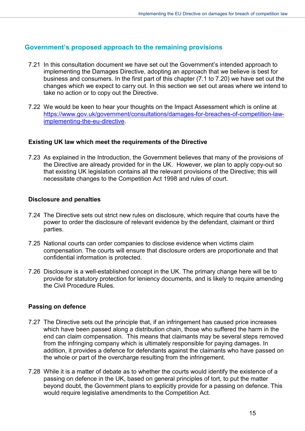## <span id="page-14-0"></span>**Government's proposed approach to the remaining provisions**

- 7.21 In this consultation document we have set out the Government's intended approach to implementing the Damages Directive, adopting an approach that we believe is best for business and consumers. In the first part of this chapter (7.1 to 7.20) we have set out the changes which we expect to carry out. In this section we set out areas where we intend to take no action or to copy out the Directive.
- 7.22 We would be keen to hear your thoughts on the Impact Assessment which is online at [https://www.gov.uk/government/consultations/damages-for-breaches-of-competition-law](https://www.gov.uk/government/consultations/damages-for-breaches-of-competition-law-implementing-the-eu-directive)[implementing-the-eu-directive.](https://www.gov.uk/government/consultations/damages-for-breaches-of-competition-law-implementing-the-eu-directive)

#### **Existing UK law which meet the requirements of the Directive**

7.23 As explained in the Introduction, the Government believes that many of the provisions of the Directive are already provided for in the UK. However, we plan to apply copy-out so that existing UK legislation contains all the relevant provisions of the Directive; this will necessitate changes to the Competition Act 1998 and rules of court.

#### **Disclosure and penalties**

- 7.24 The Directive sets out strict new rules on disclosure, which require that courts have the power to order the disclosure of relevant evidence by the defendant, claimant or third parties.
- 7.25 National courts can order companies to disclose evidence when victims claim compensation. The courts will ensure that disclosure orders are proportionate and that confidential information is protected.
- 7.26 Disclosure is a well-established concept in the UK. The primary change here will be to provide for statutory protection for leniency documents, and is likely to require amending the Civil Procedure Rules.

#### **Passing on defence**

- 7.27 The Directive sets out the principle that, if an infringement has caused price increases which have been passed along a distribution chain, those who suffered the harm in the end can claim compensation. This means that claimants may be several steps removed from the infringing company which is ultimately responsible for paying damages. In addition, it provides a defence for defendants against the claimants who have passed on the whole or part of the overcharge resulting from the infringement.
- 7.28 While it is a matter of debate as to whether the courts would identify the existence of a passing on defence in the UK, based on general principles of tort, to put the matter beyond doubt, the Government plans to explicitly provide for a passing on defence. This would require legislative amendments to the Competition Act.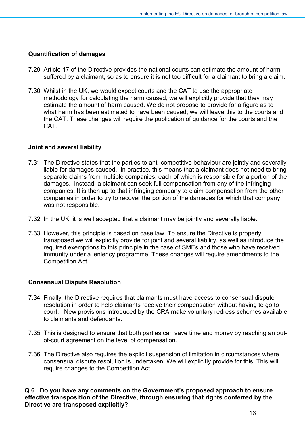#### **Quantification of damages**

- 7.29 Article 17 of the Directive provides the national courts can estimate the amount of harm suffered by a claimant, so as to ensure it is not too difficult for a claimant to bring a claim.
- 7.30 Whilst in the UK, we would expect courts and the CAT to use the appropriate methodology for calculating the harm caused, we will explicitly provide that they may estimate the amount of harm caused. We do not propose to provide for a figure as to what harm has been estimated to have been caused; we will leave this to the courts and the CAT. These changes will require the publication of guidance for the courts and the CAT.

#### **Joint and several liability**

- 7.31 The Directive states that the parties to anti-competitive behaviour are jointly and severally liable for damages caused. In practice, this means that a claimant does not need to bring separate claims from multiple companies, each of which is responsible for a portion of the damages. Instead, a claimant can seek full compensation from any of the infringing companies. It is then up to that infringing company to claim compensation from the other companies in order to try to recover the portion of the damages for which that company was not responsible.
- 7.32 In the UK, it is well accepted that a claimant may be jointly and severally liable.
- 7.33 However, this principle is based on case law. To ensure the Directive is properly transposed we will explicitly provide for joint and several liability, as well as introduce the required exemptions to this principle in the case of SMEs and those who have received immunity under a leniency programme. These changes will require amendments to the Competition Act.

#### **Consensual Dispute Resolution**

- 7.34 Finally, the Directive requires that claimants must have access to consensual dispute resolution in order to help claimants receive their compensation without having to go to court. New provisions introduced by the CRA make voluntary redress schemes available to claimants and defendants.
- 7.35 This is designed to ensure that both parties can save time and money by reaching an outof-court agreement on the level of compensation.
- 7.36 The Directive also requires the explicit suspension of limitation in circumstances where consensual dispute resolution is undertaken. We will explicitly provide for this. This will require changes to the Competition Act.

#### **Q 6. Do you have any comments on the Government's proposed approach to ensure effective transposition of the Directive, through ensuring that rights conferred by the Directive are transposed explicitly?**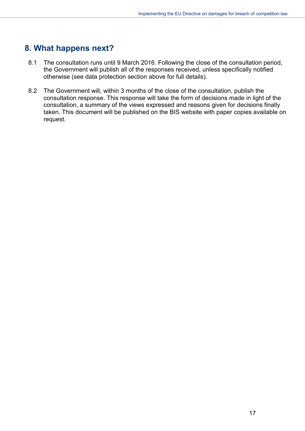## <span id="page-16-0"></span>**8. What happens next?**

- 8.1 The consultation runs until 9 March 2016. Following the close of the consultation period, the Government will publish all of the responses received, unless specifically notified otherwise (see data protection section above for full details).
- 8.2 The Government will, within 3 months of the close of the consultation, publish the consultation response. This response will take the form of decisions made in light of the consultation, a summary of the views expressed and reasons given for decisions finally taken. This document will be published on the BIS website with paper copies available on request.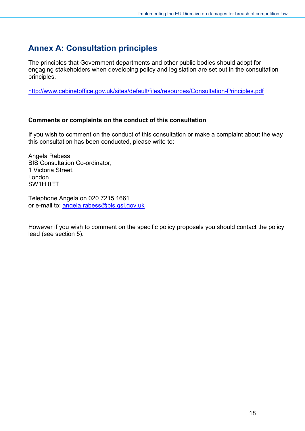# <span id="page-17-0"></span>**Annex A: Consultation principles**

The principles that Government departments and other public bodies should adopt for engaging stakeholders when developing policy and legislation are set out in the consultation principles.

<http://www.cabinetoffice.gov.uk/sites/default/files/resources/Consultation-Principles.pdf>

#### **Comments or complaints on the conduct of this consultation**

If you wish to comment on the conduct of this consultation or make a complaint about the way this consultation has been conducted, please write to:

Angela Rabess BIS Consultation Co-ordinator, 1 Victoria Street, London SW1H 0ET

Telephone Angela on 020 7215 1661 or e-mail to: [angela.rabess@bis.gsi.gov.uk](mailto:angela.rabess@bis.gsi.gov.uk) 

However if you wish to comment on the specific policy proposals you should contact the policy lead (see section 5).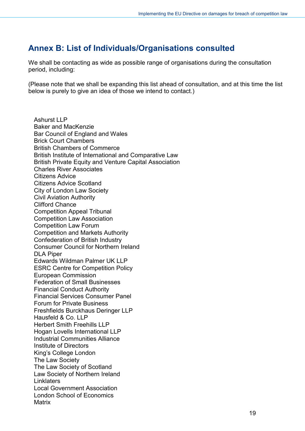## <span id="page-18-0"></span>**Annex B: List of Individuals/Organisations consulted**

We shall be contacting as wide as possible range of organisations during the consultation period, including:

(Please note that we shall be expanding this list ahead of consultation, and at this time the list below is purely to give an idea of those we intend to contact.)

Ashurst LLP Baker and MacKenzie Bar Council of England and Wales Brick Court Chambers British Chambers of Commerce British Institute of International and Comparative Law British Private Equity and Venture Capital Association Charles River Associates Citizens Advice Citizens Advice Scotland City of London Law Society Civil Aviation Authority Clifford Chance Competition Appeal Tribunal Competition Law Association Competition Law Forum Competition and Markets Authority Confederation of British Industry Consumer Council for Northern Ireland DLA Piper Edwards Wildman Palmer UK LLP ESRC Centre for Competition Policy European Commission Federation of Small Businesses Financial Conduct Authority Financial Services Consumer Panel Forum for Private Business Freshfields Burckhaus Deringer LLP Hausfeld & Co. LLP Herbert Smith Freehills LLP Hogan Lovells International LLP Industrial Communities Alliance Institute of Directors King's College London The Law Society The Law Society of Scotland Law Society of Northern Ireland **Linklaters** Local Government Association London School of Economics **Matrix**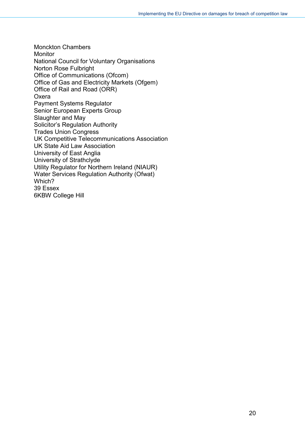Monckton Chambers **Monitor** National Council for Voluntary Organisations Norton Rose Fulbright Office of Communications (Ofcom) Office of Gas and Electricity Markets (Ofgem) Office of Rail and Road (ORR) **Oxera** Payment Systems Regulator Senior European Experts Group Slaughter and May Solicitor's Regulation Authority Trades Union Congress UK Competitive Telecommunications Association UK State Aid Law Association University of East Anglia University of Strathclyde Utility Regulator for Northern Ireland (NIAUR) Water Services Regulation Authority (Ofwat) Which? 39 Essex 6KBW College Hill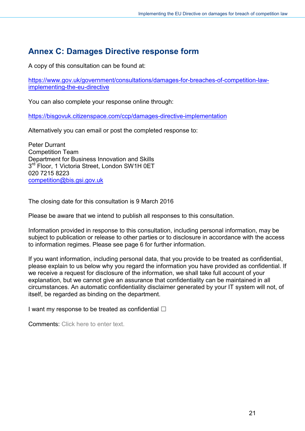# <span id="page-20-0"></span>**Annex C: Damages Directive response form**

A copy of this consultation can be found at:

[https://www.gov.uk/government/consultations/damages-for-breaches-of-competition-law](https://www.gov.uk/government/consultations/damages-for-breaches-of-competition-law-implementing-the-eu-directive)[implementing-the-eu-directive](https://www.gov.uk/government/consultations/damages-for-breaches-of-competition-law-implementing-the-eu-directive) 

You can also complete your response online through:

<https://bisgovuk.citizenspace.com/ccp/damages-directive-implementation>

Alternatively you can email or post the completed response to:

Peter Durrant Competition Team Department for Business Innovation and Skills 3<sup>rd</sup> Floor, 1 Victoria Street, London SW1H 0ET 020 7215 8223 [competition@bis.gsi.gov.uk](mailto:competition@bis.gsi.gov.uk)

The closing date for this consultation is 9 March 2016

Please be aware that we intend to publish all responses to this consultation.

Information provided in response to this consultation, including personal information, may be subject to publication or release to other parties or to disclosure in accordance with the access to information regimes. Please see page 6 for further information.

If you want information, including personal data, that you provide to be treated as confidential, please explain to us below why you regard the information you have provided as confidential. If we receive a request for disclosure of the information, we shall take full account of your explanation, but we cannot give an assurance that confidentiality can be maintained in all circumstances. An automatic confidentiality disclaimer generated by your IT system will not, of itself, be regarded as binding on the department.

I want my response to be treated as confidential  $\Box$ 

Comments: Click here to enter text.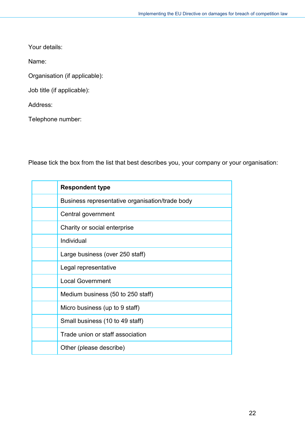Your details:

Name:

Organisation (if applicable):

Job title (if applicable):

Address:

Telephone number:

Please tick the box from the list that best describes you, your company or your organisation:

| <b>Respondent type</b>                          |
|-------------------------------------------------|
| Business representative organisation/trade body |
| Central government                              |
| Charity or social enterprise                    |
| Individual                                      |
| Large business (over 250 staff)                 |
| Legal representative                            |
| <b>Local Government</b>                         |
| Medium business (50 to 250 staff)               |
| Micro business (up to 9 staff)                  |
| Small business (10 to 49 staff)                 |
| Trade union or staff association                |
| Other (please describe)                         |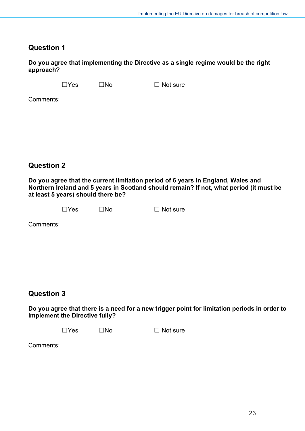## **Question 1**

**Do you agree that implementing the Directive as a single regime would be the right approach?**

 $\square$ Yes  $\square$ No  $\square$  Not sure

Comments:

## **Question 2**

**Do you agree that the current limitation period of 6 years in England, Wales and Northern Ireland and 5 years in Scotland should remain? If not, what period (it must be at least 5 years) should there be?**

|  |  | $\Box$ Yes | $\square$ No | $\Box$ Not sure |
|--|--|------------|--------------|-----------------|
|--|--|------------|--------------|-----------------|

Comments:

## **Question 3**

**Do you agree that there is a need for a new trigger point for limitation periods in order to implement the Directive fully?**

 $\Box$ Yes  $\Box$ No  $\Box$  Not sure

Comments: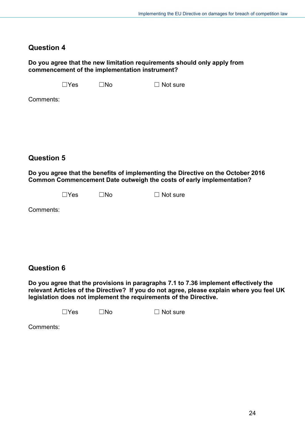## **Question 4**

#### **Do you agree that the new limitation requirements should only apply from commencement of the implementation instrument?**

 $\square$ Yes  $\square$ No  $\square$  Not sure

Comments:

**Question 5**

**Do you agree that the benefits of implementing the Directive on the October 2016 Common Commencement Date outweigh the costs of early implementation?**

 $\Box$ Yes  $\Box$ No  $\Box$  Not sure

Comments:

## **Question 6**

**Do you agree that the provisions in paragraphs 7.1 to 7.36 implement effectively the relevant Articles of the Directive? If you do not agree, please explain where you feel UK legislation does not implement the requirements of the Directive.**

 $\Box$ Yes  $\Box$ No  $\Box$  Not sure

Comments: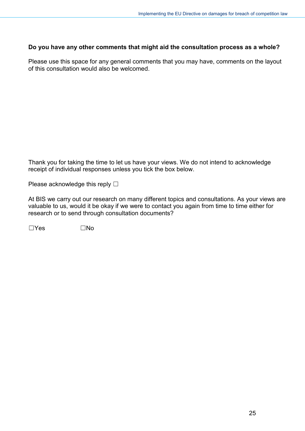#### **Do you have any other comments that might aid the consultation process as a whole?**

Please use this space for any general comments that you may have, comments on the layout of this consultation would also be welcomed.

Thank you for taking the time to let us have your views. We do not intend to acknowledge receipt of individual responses unless you tick the box below.

Please acknowledge this reply  $\Box$ 

At BIS we carry out our research on many different topics and consultations. As your views are valuable to us, would it be okay if we were to contact you again from time to time either for research or to send through consultation documents?

 $\square$ Yes  $\square$ No